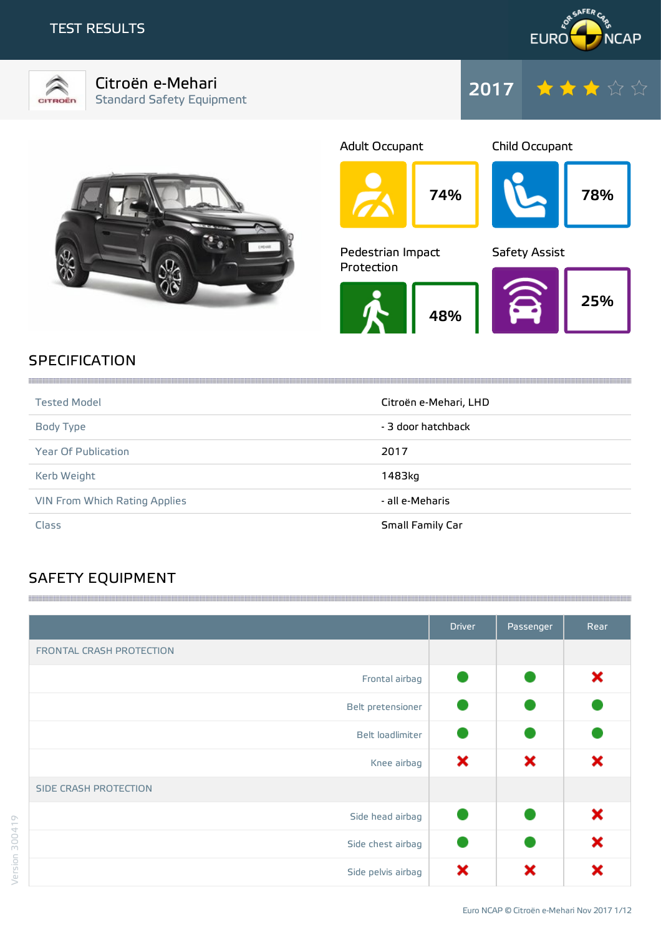## TEST RESULTS





Citroën e-Mehari Standard Safety Equipment





74% Adult Occupant Child Occupant 48% Pedestrian Impact Protection Safety Assist





# **SPECIFICATION**

| <b>Tested Model</b>           | Citroën e-Mehari, LHD |
|-------------------------------|-----------------------|
| Body Type                     | - 3 door hatchback    |
| <b>Year Of Publication</b>    | 2017                  |
| Kerb Weight                   | 1483kg                |
| VIN From Which Rating Applies | - all e-Meharis       |
| Class                         | Small Family Car      |

# SAFETY EQUIPMENT

|                              | <b>Driver</b> | Passenger | Rear |
|------------------------------|---------------|-----------|------|
| FRONTAL CRASH PROTECTION     |               |           |      |
| Frontal airbag               |               |           | ×    |
| Belt pretensioner            |               |           |      |
| Belt loadlimiter             |               |           |      |
| Knee airbag                  | ×             | ×         | ×    |
| <b>SIDE CRASH PROTECTION</b> |               |           |      |
| Side head airbag             |               |           | ×    |
| Side chest airbag            |               |           | ×    |
| Side pelvis airbag           | ×             | ×         |      |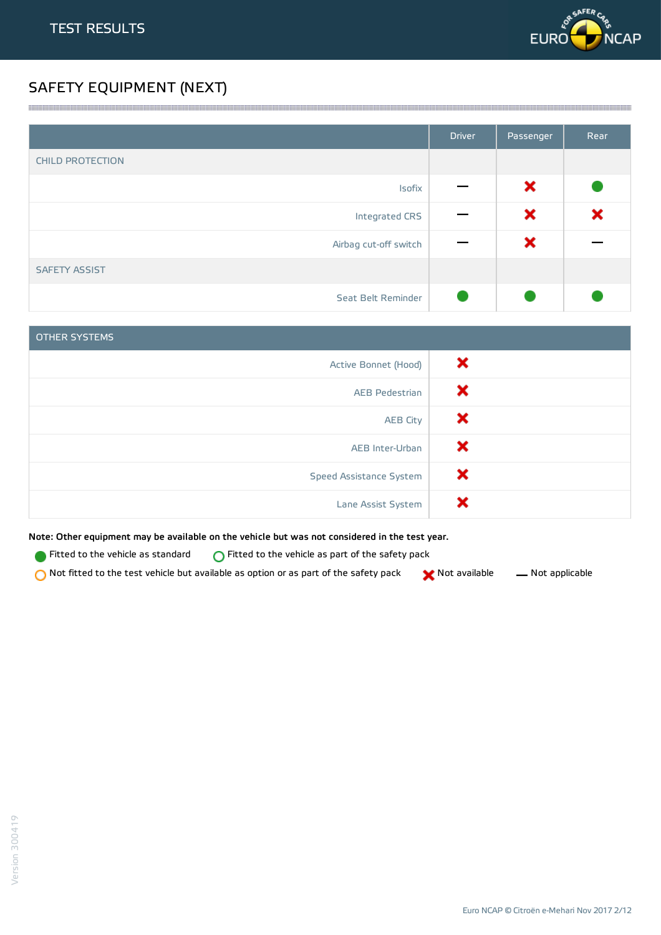

# SAFETY EQUIPMENT (NEXT)

|                         | <b>Driver</b> | Passenger | Rear |
|-------------------------|---------------|-----------|------|
| <b>CHILD PROTECTION</b> |               |           |      |
| Isofix                  |               | ×         |      |
| Integrated CRS          |               | ×         | ×    |
| Airbag cut-off switch   |               | ×         |      |
| <b>SAFETY ASSIST</b>    |               |           |      |
| Seat Belt Reminder      |               |           |      |

<u> 1989 - Andrea Stadt Stadt Stadt Stadt Stadt Stadt Stadt Stadt Stadt Stadt Stadt Stadt Stadt Stadt Stadt Stadt Stadt Stadt Stadt Stadt Stadt Stadt Stadt Stadt Stadt Stadt Stadt Stadt Stadt Stadt Stadt Stadt Stadt Stadt St</u>

| <b>OTHER SYSTEMS</b>    |   |
|-------------------------|---|
| Active Bonnet (Hood)    | × |
| AEB Pedestrian          | × |
| <b>AEB City</b>         | × |
| AEB Inter-Urban         | × |
| Speed Assistance System | × |
| Lane Assist System      | х |

Note: Other equipment may be available on the vehicle but was not considered in the test year.

**Fitted to the vehicle as standard**  $\bigcirc$  Fitted to the vehicle as part of the safety pack

 $\bigcirc$  Not fitted to the test vehicle but available as option or as part of the safety pack  $\bigcirc$  Not available  $\qquad$  Not applicable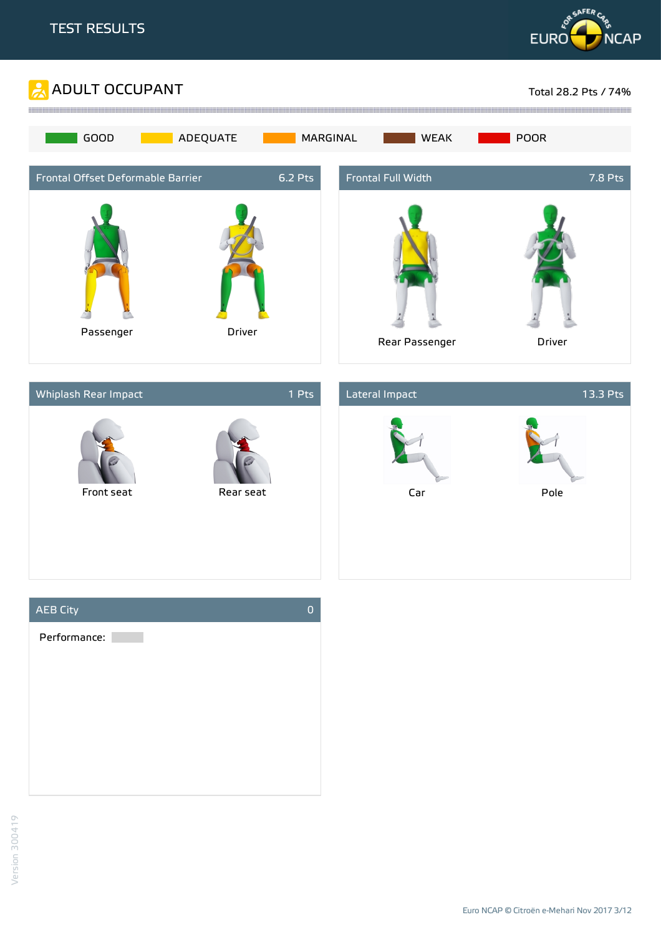







Euro NCAP © Citroën e-Mehari Nov 2017 3/12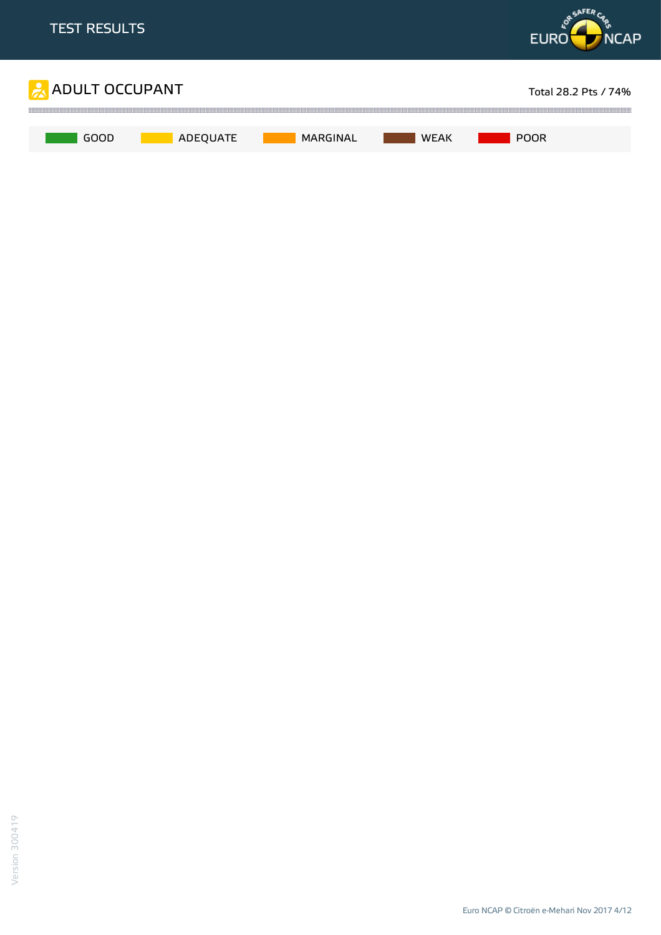

Euro NCAP © Citroën e-Mehari Nov 2017 4/12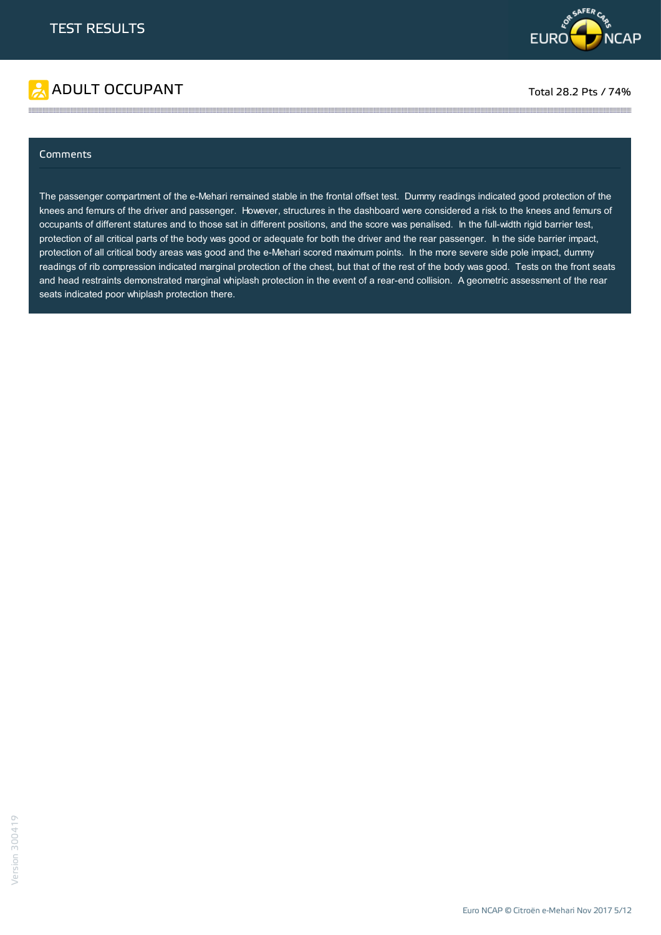



#### **Comments**

The passenger compartment of the e-Mehari remained stable in the frontal offset test. Dummy readings indicated good protection of the knees and femurs of the driver and passenger. However, structures in the dashboard were considered a risk to the knees and femurs of occupants of different statures and to those sat in different positions, and the score was penalised. In the full-width rigid barrier test, protection of all critical parts of the body was good or adequate for both the driver and the rear passenger. In the side barrier impact, protection of all critical body areas was good and the e-Mehari scored maximum points. In the more severe side pole impact, dummy readings of rib compression indicated marginal protection of the chest, but that of the rest of the body was good. Tests on the front seats and head restraints demonstrated marginal whiplash protection in the event of a rear-end collision. A geometric assessment of the rear seats indicated poor whiplash protection there.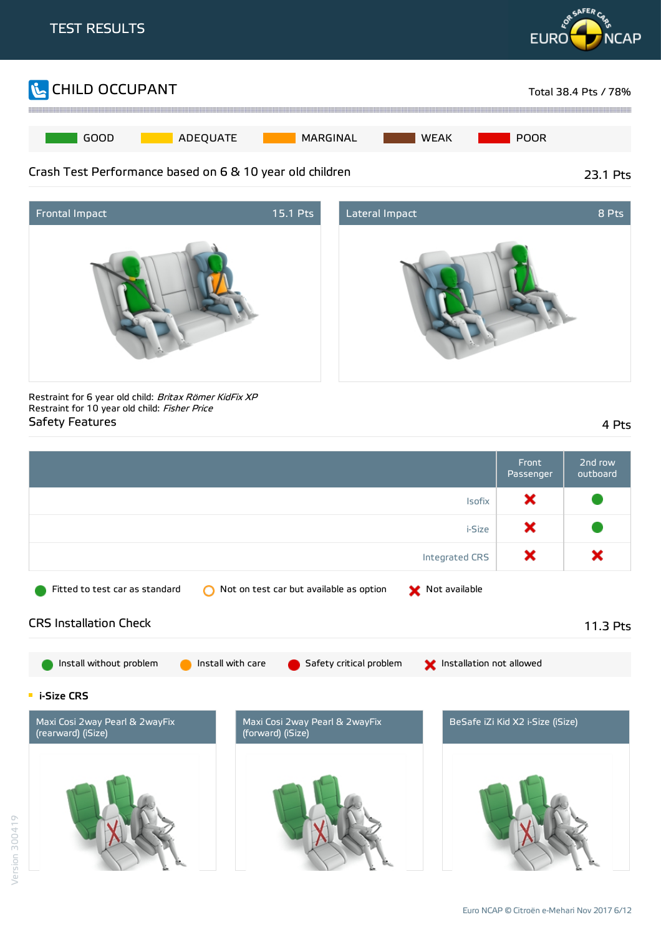





Restraint for 6 year old child: Britax Römer KidFix XP Restraint for 10 year old child: Fisher Price Safety Features 4 Pts

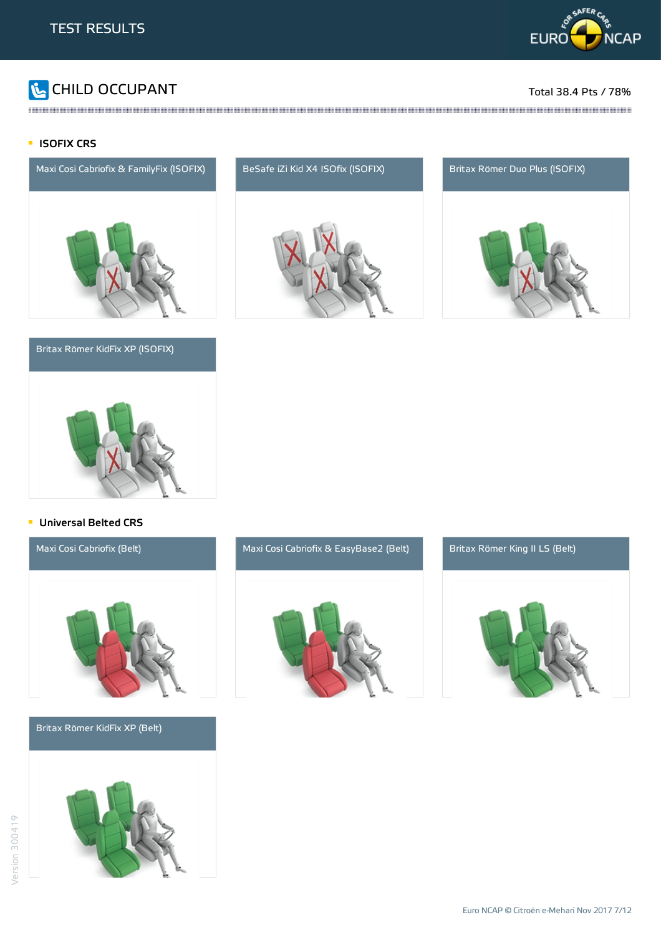

# CHILD OCCUPANT Total 38.4 Pts / 78%

#### **ISOFIX CRS**





#### **Universal Belted CRS**

Britax Römer KidFix XP (Belt)





and the contract of the contract of the contract of the contract of the contract of the contract of the contract of the contract of the contract of the contract of the contract of the contract of the contract of the contra



### Maxi Cosi Cabriofix (Belt) Maxi Cosi Cabriofix & EasyBase2 (Belt) Britax Römer King II LS (Belt)

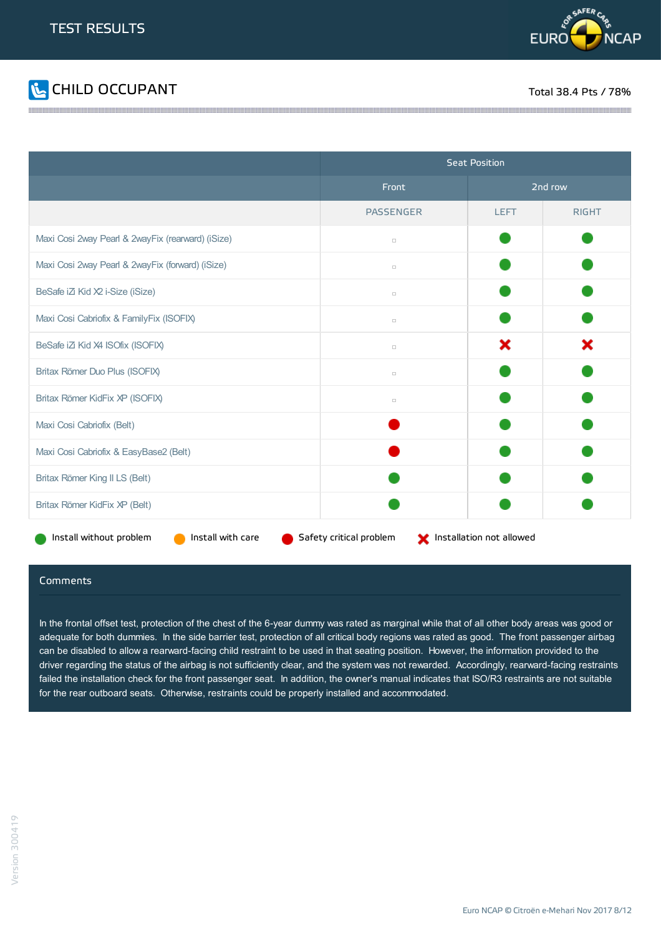



|                                                   | <b>Seat Position</b>    |                          |              |
|---------------------------------------------------|-------------------------|--------------------------|--------------|
|                                                   | Front                   | 2nd row                  |              |
|                                                   | <b>PASSENGER</b>        | <b>LEFT</b>              | <b>RIGHT</b> |
| Maxi Cosi 2way Pearl & 2wayFix (rearward) (iSize) | $\Box$                  |                          |              |
| Maxi Cosi 2way Pearl & 2wayFix (forward) (iSize)  | $\Box$                  |                          |              |
| BeSafe iZi Kid X2 i-Size (iSize)                  | $\Box$                  |                          |              |
| Maxi Cosi Cabriofix & FamilyFix (ISOFIX)          | $\Box$                  |                          |              |
| BeSafe iZi Kid X4 ISOfix (ISOFIX)                 | $\Box$                  | ×                        | ×            |
| Britax Römer Duo Plus (ISOFIX)                    | $\Box$                  |                          |              |
| Britax Römer KidFix XP (ISOFIX)                   | $\Box$                  |                          |              |
| Maxi Cosi Cabriofix (Belt)                        |                         |                          |              |
| Maxi Cosi Cabriofix & EasyBase2 (Belt)            |                         |                          |              |
| Britax Römer King II LS (Belt)                    |                         |                          |              |
| Britax Römer KidFix XP (Belt)                     |                         |                          |              |
| Install with care<br>Install without problem      | Safety critical problem | Installation not allowed |              |

#### Comments

In the frontal offset test, protection of the chest of the 6-year dummy was rated as marginal while that of all other body areas was good or adequate for both dummies. In the side barrier test, protection of all critical body regions was rated as good. The front passenger airbag can be disabled to allow a rearward-facing child restraint to be used in that seating position. However, the information provided to the driver regarding the status of the airbag is not sufficiently clear, and the system was not rewarded. Accordingly, rearward-facing restraints failed the installation check for the front passenger seat. In addition, the owner's manual indicates that ISO/R3 restraints are not suitable for the rear outboard seats. Otherwise, restraints could be properly installed and accommodated.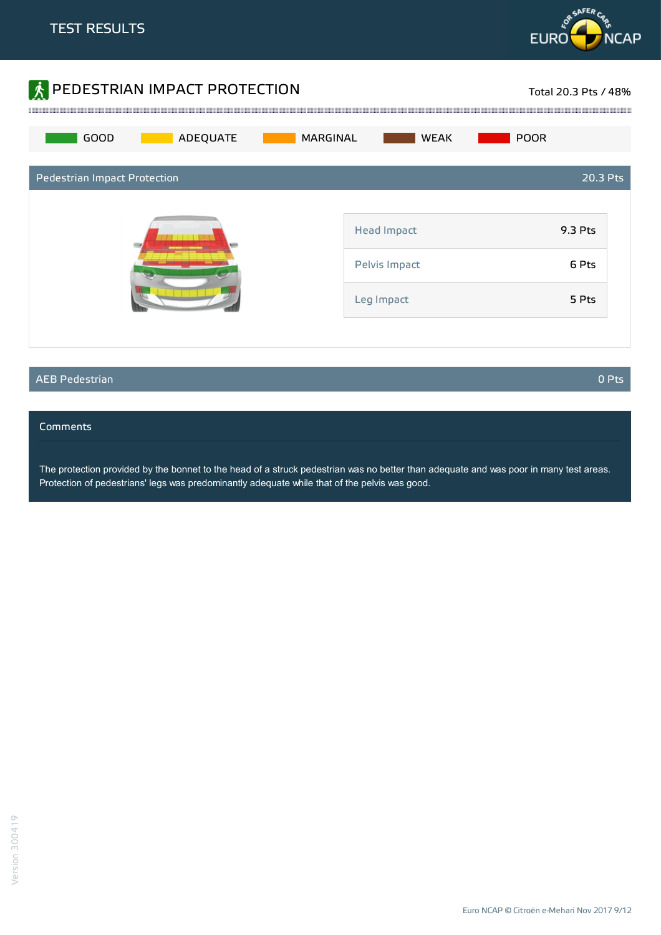



#### AEB Pedestrian 0 Pts

#### Comments

The protection provided by the bonnet to the head of a struck pedestrian was no better than adequate and was poor in many test areas. Protection of pedestrians' legs was predominantly adequate while that of the pelvis was good.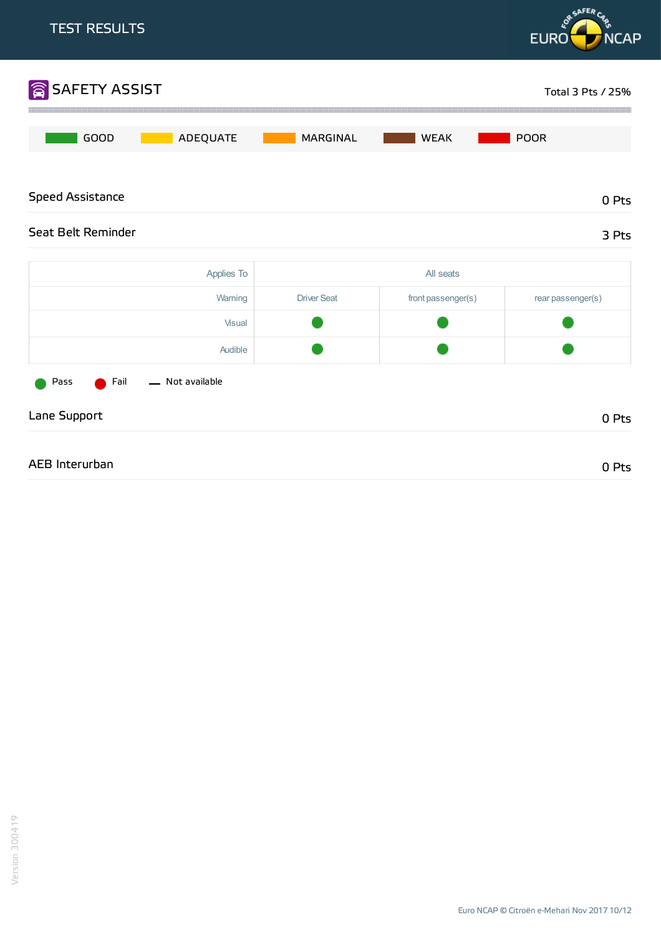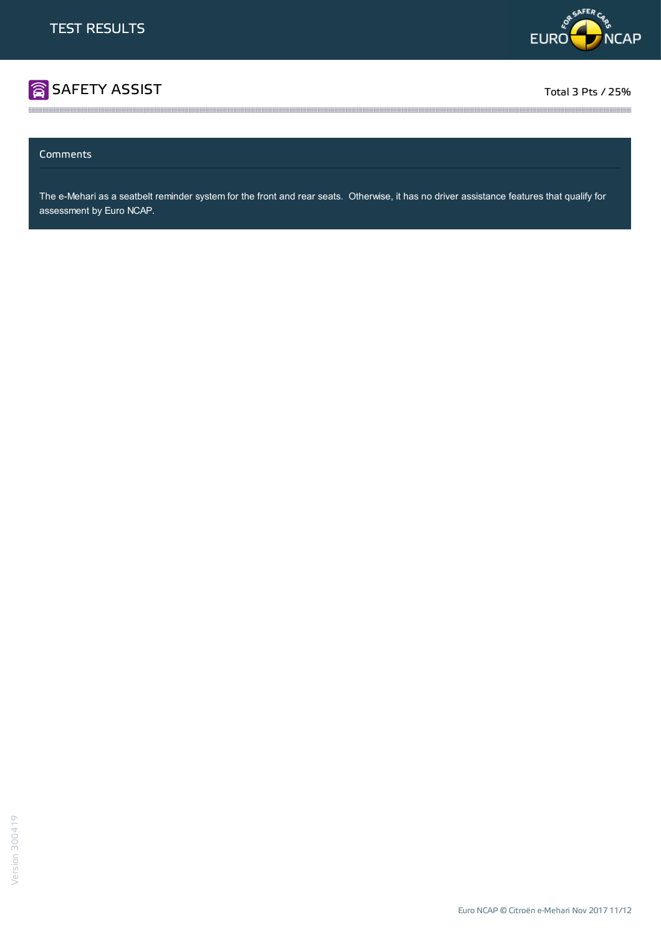

# **SAFETY ASSIST** Total 3 Pts / 25%

#### Comments

The e-Mehari as a seatbelt reminder system for the front and rear seats. Otherwise, it has no driver assistance features that qualify for assessment by Euro NCAP.